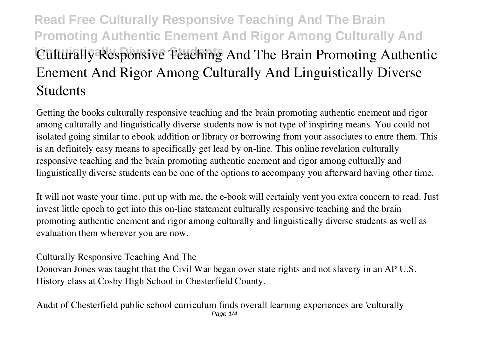## **Read Free Culturally Responsive Teaching And The Brain Promoting Authentic Enement And Rigor Among Culturally And Linguistically Diverse Students Culturally Responsive Teaching And The Brain Promoting Authentic Enement And Rigor Among Culturally And Linguistically Diverse Students**

Getting the books **culturally responsive teaching and the brain promoting authentic enement and rigor among culturally and linguistically diverse students** now is not type of inspiring means. You could not isolated going similar to ebook addition or library or borrowing from your associates to entre them. This is an definitely easy means to specifically get lead by on-line. This online revelation culturally responsive teaching and the brain promoting authentic enement and rigor among culturally and linguistically diverse students can be one of the options to accompany you afterward having other time.

It will not waste your time. put up with me, the e-book will certainly vent you extra concern to read. Just invest little epoch to get into this on-line statement **culturally responsive teaching and the brain promoting authentic enement and rigor among culturally and linguistically diverse students** as well as evaluation them wherever you are now.

**Culturally Responsive Teaching And The**

Donovan Jones was taught that the Civil War began over state rights and not slavery in an AP U.S. History class at Cosby High School in Chesterfield County.

**Audit of Chesterfield public school curriculum finds overall learning experiences are 'culturally** Page  $1/4$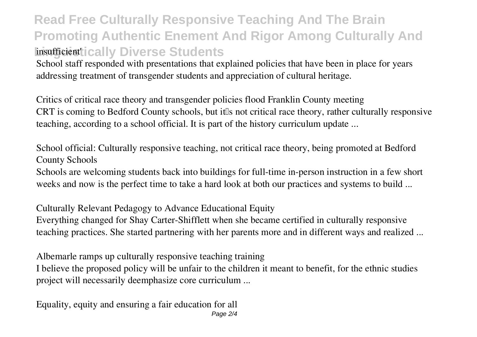## **Read Free Culturally Responsive Teaching And The Brain Promoting Authentic Enement And Rigor Among Culturally And insufficient ically Diverse Students**

School staff responded with presentations that explained policies that have been in place for years addressing treatment of transgender students and appreciation of cultural heritage.

**Critics of critical race theory and transgender policies flood Franklin County meeting** CRT is coming to Bedford County schools, but it is not critical race theory, rather culturally responsive teaching, according to a school official. It is part of the history curriculum update ...

**School official: Culturally responsive teaching, not critical race theory, being promoted at Bedford County Schools**

Schools are welcoming students back into buildings for full-time in-person instruction in a few short weeks and now is the perfect time to take a hard look at both our practices and systems to build ...

**Culturally Relevant Pedagogy to Advance Educational Equity** Everything changed for Shay Carter-Shifflett when she became certified in culturally responsive teaching practices. She started partnering with her parents more and in different ways and realized ...

**Albemarle ramps up culturally responsive teaching training**

I believe the proposed policy will be unfair to the children it meant to benefit, for the ethnic studies project will necessarily deemphasize core curriculum ...

**Equality, equity and ensuring a fair education for all**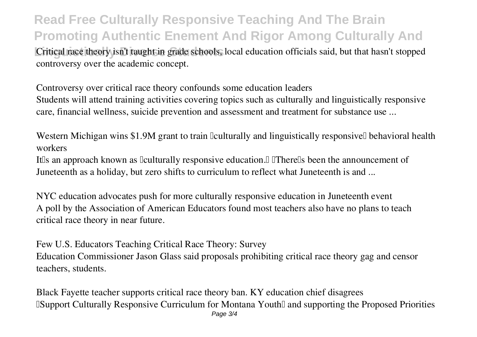**Read Free Culturally Responsive Teaching And The Brain Promoting Authentic Enement And Rigor Among Culturally And**

Critical race theory isn't taught in grade schools, local education officials said, but that hasn't stopped controversy over the academic concept.

**Controversy over critical race theory confounds some education leaders** Students will attend training activities covering topics such as culturally and linguistically responsive care, financial wellness, suicide prevention and assessment and treatment for substance use ...

Western Michigan wins \$1.9M grant to train  $\Omega$  culturally and linguistically responsive $\Omega$  behavioral health **workers**

It'lls an approach known as liculturally responsive education. I IThere'lls been the announcement of Juneteenth as a holiday, but zero shifts to curriculum to reflect what Juneteenth is and ...

**NYC education advocates push for more culturally responsive education in Juneteenth event** A poll by the Association of American Educators found most teachers also have no plans to teach critical race theory in near future.

**Few U.S. Educators Teaching Critical Race Theory: Survey** Education Commissioner Jason Glass said proposals prohibiting critical race theory gag and censor teachers, students.

**Black Fayette teacher supports critical race theory ban. KY education chief disagrees EXUPPORTIAL CULTURE CULTURE CULTURE CULTURE IS NOT A SUPPORT OF PROPOSED PRIORITIES** Page 3/4